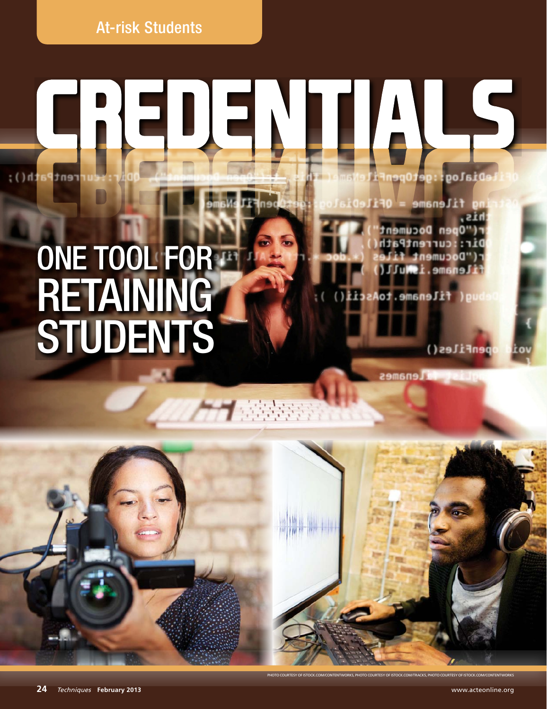At-risk Students

## LS IIA Dialog rent

3333

# ONE TOOL FOR **RETAINING STUDENTS**

609 Open Document current Path Document 1 name.i.Mull

filename.toA

**Milenames** 

penFiles()

**24** Techniques **February 2013** www.acteonline.org

e<br>TentWorks, photo courtesy of istock.com/Track5, photo courtesy of istock.com/contentWorks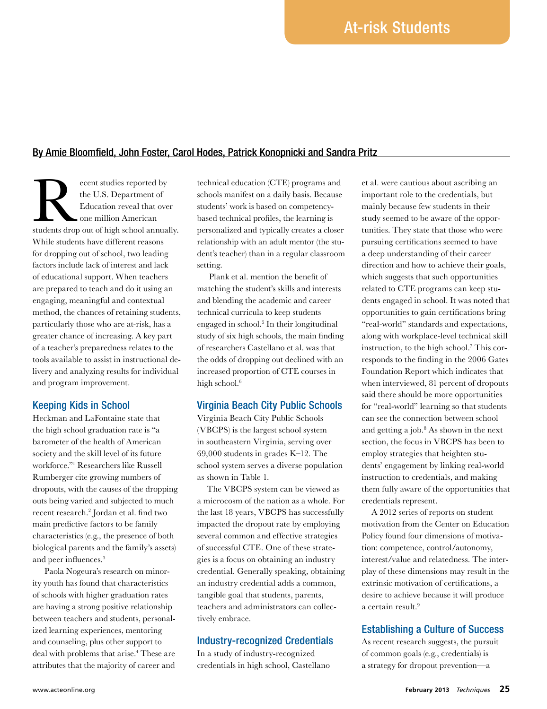## By Amie Bloomfield, John Foster, Carol Hodes, Patrick Konopnicki and Sandra Pritz

ecent studies reported by<br>the U.S. Department of<br>Education reveal that over<br>students drop out of high school annually. the U.S. Department of Education reveal that over one million American While students have different reasons for dropping out of school, two leading factors include lack of interest and lack of educational support. When teachers are prepared to teach and do it using an engaging, meaningful and contextual method, the chances of retaining students, particularly those who are at-risk, has a greater chance of increasing. A key part of a teacher's preparedness relates to the tools available to assist in instructional delivery and analyzing results for individual and program improvement.

#### Keeping Kids in School

Heckman and LaFontaine state that the high school graduation rate is "a barometer of the health of American society and the skill level of its future workforce."1 Researchers like Russell Rumberger cite growing numbers of dropouts, with the causes of the dropping outs being varied and subjected to much recent research.2 Jordan et al. find two main predictive factors to be family characteristics (e.g., the presence of both biological parents and the family's assets) and peer influences.<sup>3</sup>

 Paola Nogeura's research on minority youth has found that characteristics of schools with higher graduation rates are having a strong positive relationship between teachers and students, personalized learning experiences, mentoring and counseling, plus other support to deal with problems that arise.<sup>4</sup> These are attributes that the majority of career and

technical education (CTE) programs and schools manifest on a daily basis. Because students' work is based on competencybased technical profiles, the learning is personalized and typically creates a closer relationship with an adult mentor (the student's teacher) than in a regular classroom setting.

 Plank et al. mention the benefit of matching the student's skills and interests and blending the academic and career technical curricula to keep students engaged in school.5 In their longitudinal study of six high schools, the main finding of researchers Castellano et al. was that the odds of dropping out declined with an increased proportion of CTE courses in high school.<sup>6</sup>

### Virginia Beach City Public Schools

Virginia Beach City Public Schools (VBCPS) is the largest school system in southeastern Virginia, serving over 69,000 students in grades K–12. The school system serves a diverse population as shown in Table 1.

The VBCPS system can be viewed as a microcosm of the nation as a whole. For the last 18 years, VBCPS has successfully impacted the dropout rate by employing several common and effective strategies of successful CTE. One of these strategies is a focus on obtaining an industry credential. Generally speaking, obtaining an industry credential adds a common, tangible goal that students, parents, teachers and administrators can collectively embrace.

## Industry-recognized Credentials

In a study of industry-recognized credentials in high school, Castellano et al. were cautious about ascribing an important role to the credentials, but mainly because few students in their study seemed to be aware of the opportunities. They state that those who were pursuing certifications seemed to have a deep understanding of their career direction and how to achieve their goals, which suggests that such opportunities related to CTE programs can keep students engaged in school. It was noted that opportunities to gain certifications bring "real-world" standards and expectations, along with workplace-level technical skill instruction, to the high school.7 This corresponds to the finding in the 2006 Gates Foundation Report which indicates that when interviewed, 81 percent of dropouts said there should be more opportunities for "real-world" learning so that students can see the connection between school and getting a job.8 As shown in the next section, the focus in VBCPS has been to employ strategies that heighten students' engagement by linking real-world instruction to credentials, and making them fully aware of the opportunities that credentials represent.

A 2012 series of reports on student motivation from the Center on Education Policy found four dimensions of motivation: competence, control/autonomy, interest/value and relatedness. The interplay of these dimensions may result in the extrinsic motivation of certifications, a desire to achieve because it will produce a certain result.<sup>9</sup>

## Establishing a Culture of Success

As recent research suggests, the pursuit of common goals (e.g., credentials) is a strategy for dropout prevention—a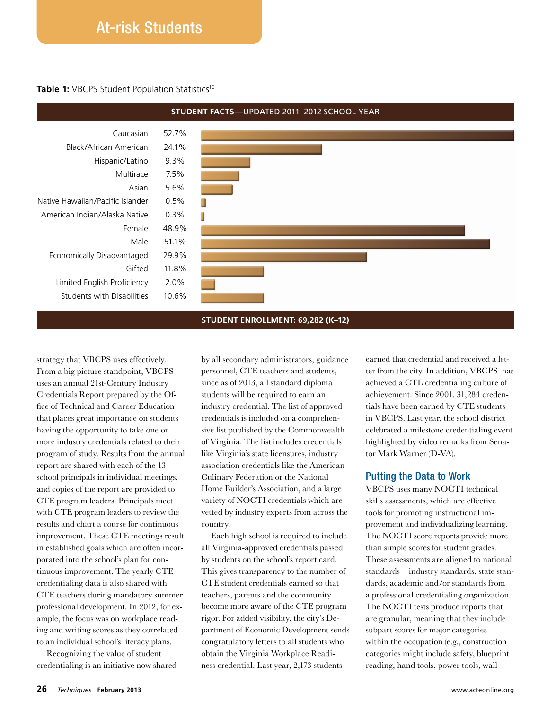## At-risk Students

#### **Table 1:** VBCPS Student Population Statistics<sup>10</sup>



#### **Student nrollment: 69,282 (K–12)**

strategy that VBCPS uses effectively. From a big picture standpoint, VBCPS uses an annual 21st-Century Industry Credentials Report prepared by the Office of Technical and Career Education that places great importance on students having the opportunity to take one or more industry credentials related to their program of study. Results from the annual report are shared with each of the 13 school principals in individual meetings, and copies of the report are provided to CTE program leaders. Principals meet with CTE program leaders to review the results and chart a course for continuous improvement. These CTE meetings result in established goals which are often incorporated into the school's plan for continuous improvement. The yearly CTE credentialing data is also shared with CTE teachers during mandatory summer professional development. In 2012, for example, the focus was on workplace reading and writing scores as they correlated to an individual school's literacy plans.

Recognizing the value of student credentialing is an initiative now shared by all secondary administrators, guidance personnel, CTE teachers and students, since as of 2013, all standard diploma students will be required to earn an industry credential. The list of approved credentials is included on a comprehensive list published by the Commonwealth of Virginia. The list includes credentials like Virginia's state licensures, industry association credentials like the American Culinary Federation or the National Home Builder's Association, and a large variety of NOCTI credentials which are vetted by industry experts from across the country.

Each high school is required to include all Virginia-approved credentials passed by students on the school's report card. This gives transparency to the number of CTE student credentials earned so that teachers, parents and the community become more aware of the CTE program rigor. For added visibility, the city's Department of Economic Development sends congratulatory letters to all students who obtain the Virginia Workplace Readiness credential. Last year, 2,173 students

earned that credential and received a letter from the city. In addition, VBCPS has achieved a CTE credentialing culture of achievement. Since 2001, 31,284 credentials have been earned by CTE students in VBCPS. Last year, the school district celebrated a milestone credentialing event highlighted by video remarks from Senator Mark Warner (D-VA).

## Putting the Data to Work

VBCPS uses many NOCTI technical skills assessments, which are effective tools for promoting instructional improvement and individualizing learning. The NOCTI score reports provide more than simple scores for student grades. These assessments are aligned to national standards—industry standards, state standards, academic and/or standards from a professional credentialing organization. The NOCTI tests produce reports that are granular, meaning that they include subpart scores for major categories within the occupation (e.g., construction categories might include safety, blueprint reading, hand tools, power tools, wall